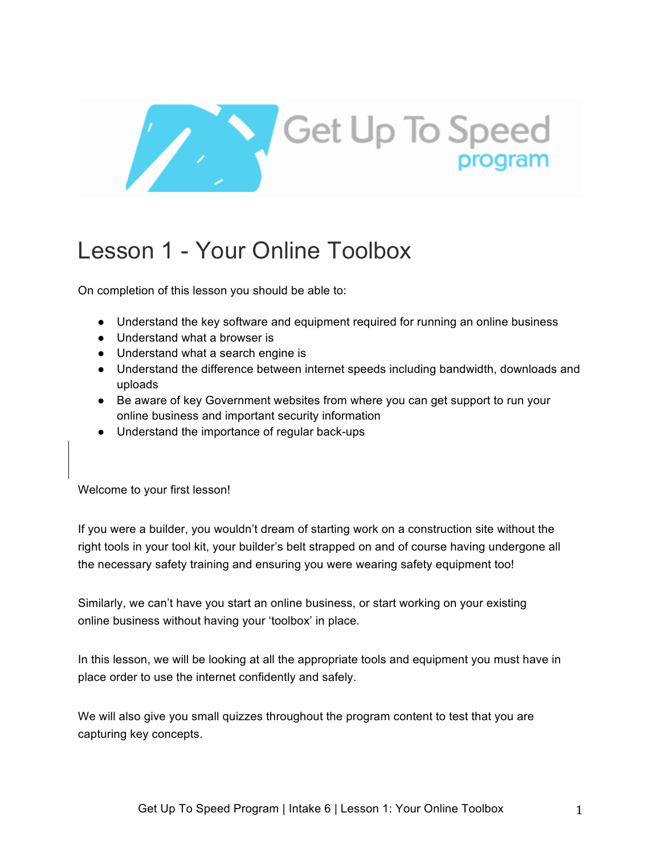

# Lesson 1 - Your Online Toolbox

On completion of this lesson you should be able to:

- Understand the key software and equipment required for running an online business
- Understand what a browser is
- Understand what a search engine is
- Understand the difference between internet speeds including bandwidth, downloads and uploads
- Be aware of key Government websites from where you can get support to run your online business and important security information
- Understand the importance of regular back-ups

Welcome to your first lesson!

If you were a builder, you wouldn't dream of starting work on a construction site without the right tools in your tool kit, your builder's belt strapped on and of course having undergone all the necessary safety training and ensuring you were wearing safety equipment too!

Similarly, we can't have you start an online business, or start working on your existing online business without having your 'toolbox' in place.

In this lesson, we will be looking at all the appropriate tools and equipment you must have in place order to use the internet confidently and safely.

We will also give you small quizzes throughout the program content to test that you are capturing key concepts.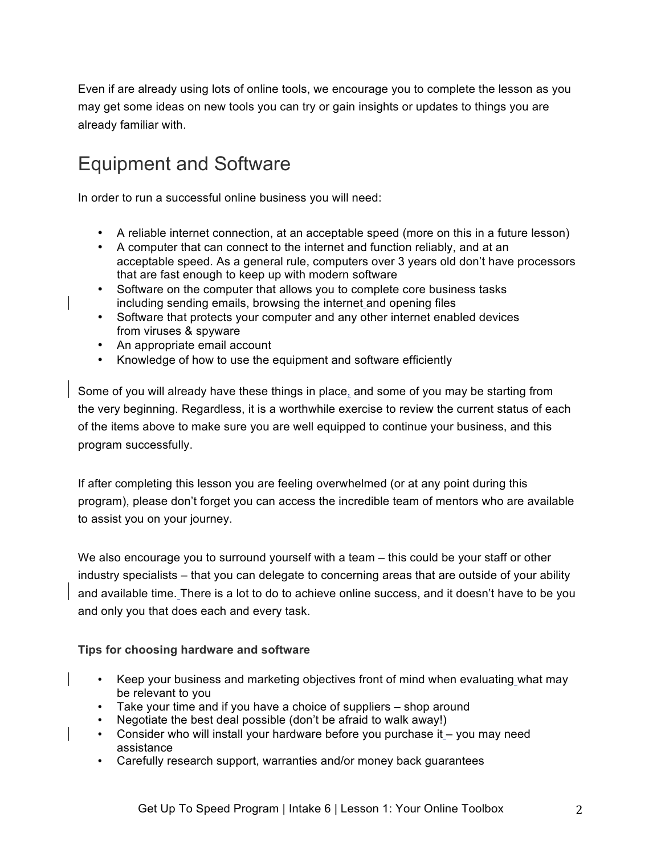Even if are already using lots of online tools, we encourage you to complete the lesson as you may get some ideas on new tools you can try or gain insights or updates to things you are already familiar with.

# Equipment and Software

In order to run a successful online business you will need:

- A reliable internet connection, at an acceptable speed (more on this in a future lesson)
- A computer that can connect to the internet and function reliably, and at an acceptable speed. As a general rule, computers over 3 years old don't have processors that are fast enough to keep up with modern software
- Software on the computer that allows you to complete core business tasks including sending emails, browsing the internet and opening files
- Software that protects your computer and any other internet enabled devices from viruses & spyware
- An appropriate email account
- Knowledge of how to use the equipment and software efficiently

Some of you will already have these things in place, and some of you may be starting from the very beginning. Regardless, it is a worthwhile exercise to review the current status of each of the items above to make sure you are well equipped to continue your business, and this program successfully.

If after completing this lesson you are feeling overwhelmed (or at any point during this program), please don't forget you can access the incredible team of mentors who are available to assist you on your journey.

We also encourage you to surround yourself with a team – this could be your staff or other industry specialists – that you can delegate to concerning areas that are outside of your ability and available time. There is a lot to do to achieve online success, and it doesn't have to be you and only you that does each and every task.

#### **Tips for choosing hardware and software**

- Keep your business and marketing objectives front of mind when evaluating what may be relevant to you
- Take your time and if you have a choice of suppliers shop around
- Negotiate the best deal possible (don't be afraid to walk away!)
- Consider who will install your hardware before you purchase it you may need assistance
- Carefully research support, warranties and/or money back guarantees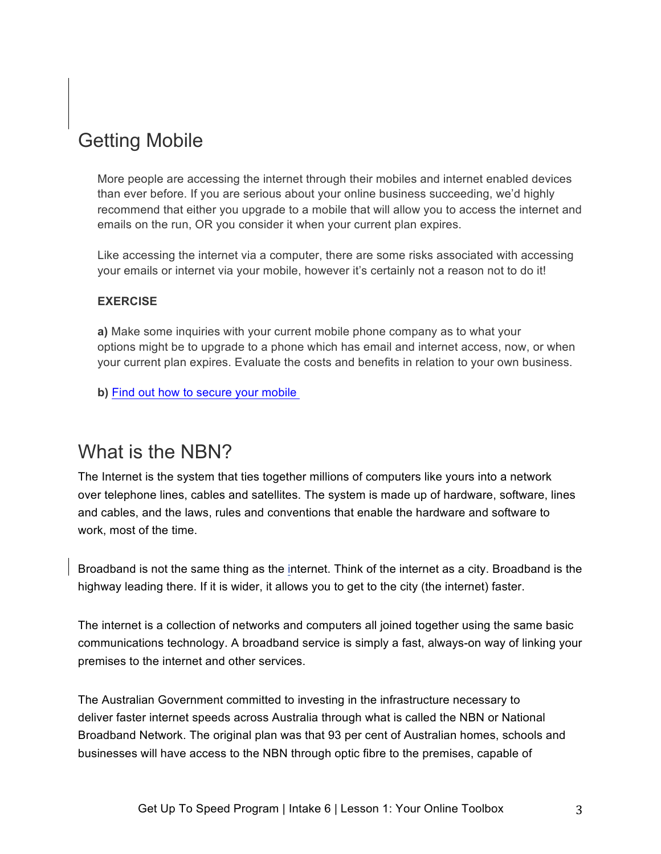# Getting Mobile

More people are accessing the internet through their mobiles and internet enabled devices than ever before. If you are serious about your online business succeeding, we'd highly recommend that either you upgrade to a mobile that will allow you to access the internet and emails on the run, OR you consider it when your current plan expires.

Like accessing the internet via a computer, there are some risks associated with accessing your emails or internet via your mobile, however it's certainly not a reason not to do it!

### **EXERCISE**

**a)** Make some inquiries with your current mobile phone company as to what your options might be to upgrade to a phone which has email and internet access, now, or when your current plan expires. Evaluate the costs and benefits in relation to your own business.

**b)** Find out how to secure your mobile

### What is the NBN?

The Internet is the system that ties together millions of computers like yours into a network over telephone lines, cables and satellites. The system is made up of hardware, software, lines and cables, and the laws, rules and conventions that enable the hardware and software to work, most of the time.

Broadband is not the same thing as the internet. Think of the internet as a city. Broadband is the highway leading there. If it is wider, it allows you to get to the city (the internet) faster.

The internet is a collection of networks and computers all joined together using the same basic communications technology. A broadband service is simply a fast, always-on way of linking your premises to the internet and other services.

The Australian Government committed to investing in the infrastructure necessary to deliver faster internet speeds across Australia through what is called the NBN or National Broadband Network. The original plan was that 93 per cent of Australian homes, schools and businesses will have access to the NBN through optic fibre to the premises, capable of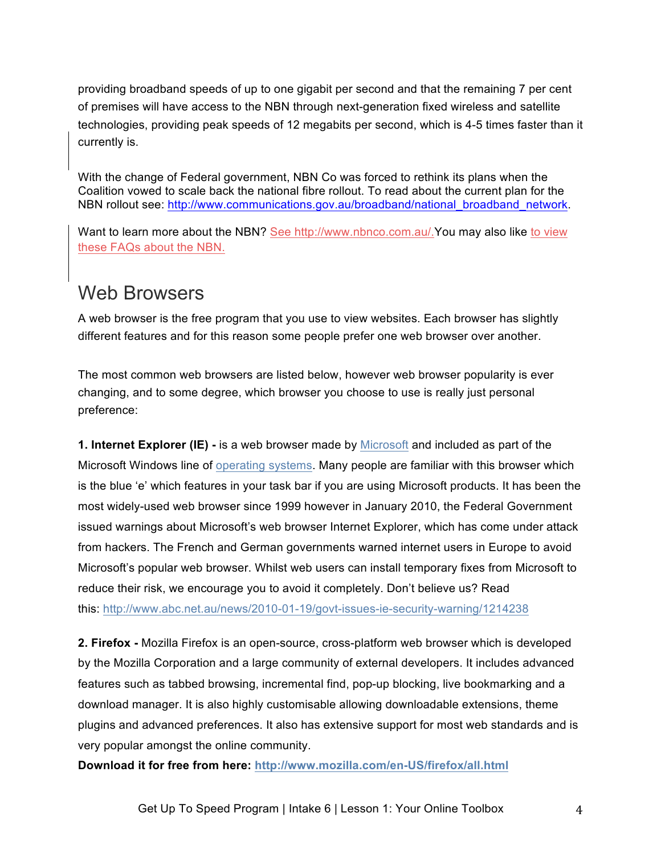providing broadband speeds of up to one gigabit per second and that the remaining 7 per cent of premises will have access to the NBN through next-generation fixed wireless and satellite technologies, providing peak speeds of 12 megabits per second, which is 4-5 times faster than it currently is.

With the change of Federal government, NBN Co was forced to rethink its plans when the Coalition vowed to scale back the national fibre rollout. To read about the current plan for the NBN rollout see: http://www.communications.gov.au/broadband/national\_broadband\_network.

Want to learn more about the NBN? See http://www.nbnco.com.au/.You may also like to view these FAQs about the NBN.

### Web Browsers

A web browser is the free program that you use to view websites. Each browser has slightly different features and for this reason some people prefer one web browser over another.

The most common web browsers are listed below, however web browser popularity is ever changing, and to some degree, which browser you choose to use is really just personal preference:

**1. Internet Explorer (IE) -** is a web browser made by Microsoft and included as part of the Microsoft Windows line of operating systems. Many people are familiar with this browser which is the blue 'e' which features in your task bar if you are using Microsoft products. It has been the most widely-used web browser since 1999 however in January 2010, the Federal Government issued warnings about Microsoft's web browser Internet Explorer, which has come under attack from hackers. The French and German governments warned internet users in Europe to avoid Microsoft's popular web browser. Whilst web users can install temporary fixes from Microsoft to reduce their risk, we encourage you to avoid it completely. Don't believe us? Read this: http://www.abc.net.au/news/2010-01-19/govt-issues-ie-security-warning/1214238

**2. Firefox -** Mozilla Firefox is an open-source, cross-platform web browser which is developed by the Mozilla Corporation and a large community of external developers. It includes advanced features such as tabbed browsing, incremental find, pop-up blocking, live bookmarking and a download manager. It is also highly customisable allowing downloadable extensions, theme plugins and advanced preferences. It also has extensive support for most web standards and is very popular amongst the online community.

**Download it for free from here: http://www.mozilla.com/en-US/firefox/all.html**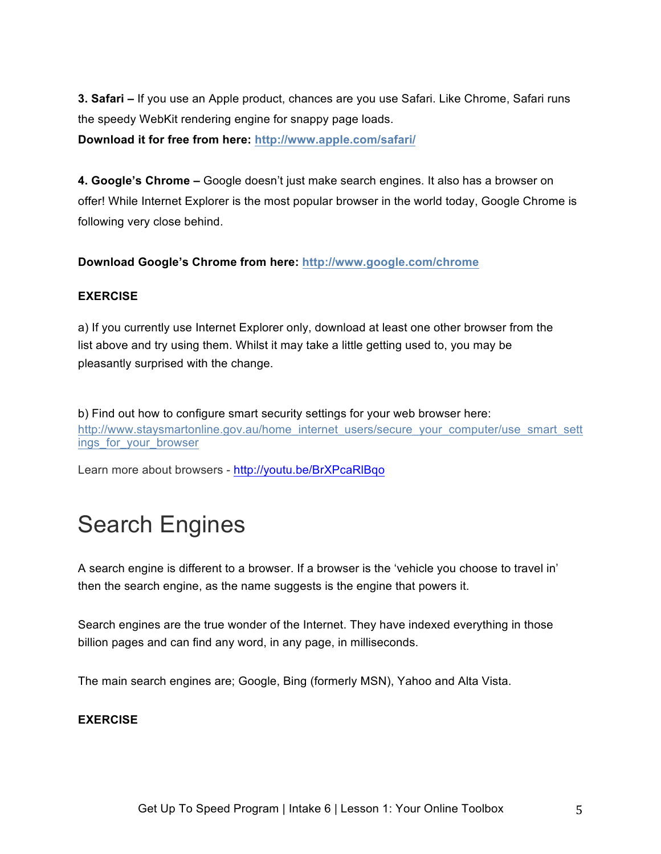**3. Safari –** If you use an Apple product, chances are you use Safari. Like Chrome, Safari runs the speedy WebKit rendering engine for snappy page loads.

**Download it for free from here: http://www.apple.com/safari/**

**4. Google's Chrome –** Google doesn't just make search engines. It also has a browser on offer! While Internet Explorer is the most popular browser in the world today, Google Chrome is following very close behind.

**Download Google's Chrome from here: http://www.google.com/chrome**

### **EXERCISE**

a) If you currently use Internet Explorer only, download at least one other browser from the list above and try using them. Whilst it may take a little getting used to, you may be pleasantly surprised with the change.

b) Find out how to configure smart security settings for your web browser here: http://www.staysmartonline.gov.au/home\_internet\_users/secure\_your\_computer/use\_smart\_sett ings for your browser

Learn more about browsers - http://youtu.be/BrXPcaRlBqo

# Search Engines

A search engine is different to a browser. If a browser is the 'vehicle you choose to travel in' then the search engine, as the name suggests is the engine that powers it.

Search engines are the true wonder of the Internet. They have indexed everything in those billion pages and can find any word, in any page, in milliseconds.

The main search engines are; Google, Bing (formerly MSN), Yahoo and Alta Vista.

### **EXERCISE**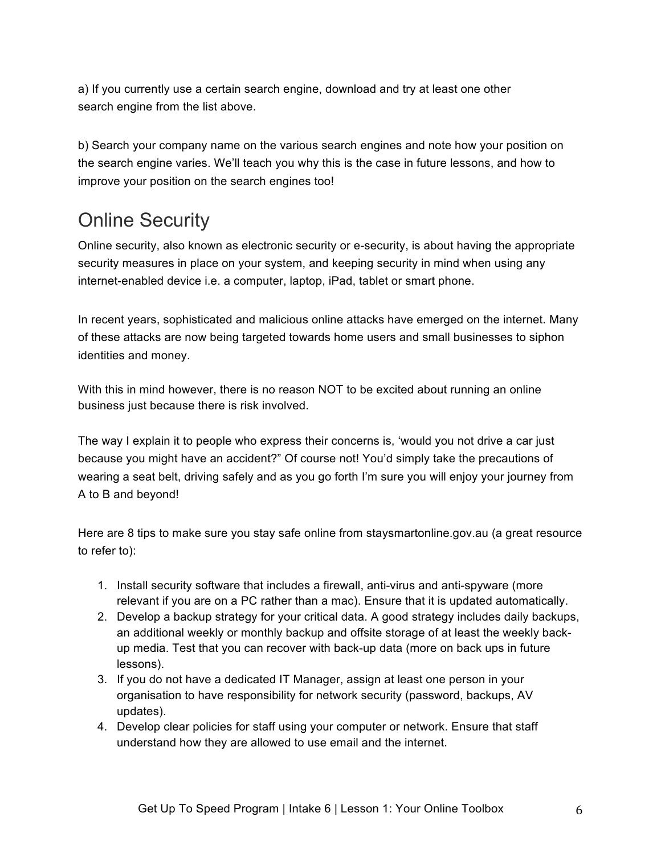a) If you currently use a certain search engine, download and try at least one other search engine from the list above.

b) Search your company name on the various search engines and note how your position on the search engine varies. We'll teach you why this is the case in future lessons, and how to improve your position on the search engines too!

# Online Security

Online security, also known as electronic security or e-security, is about having the appropriate security measures in place on your system, and keeping security in mind when using any internet-enabled device i.e. a computer, laptop, iPad, tablet or smart phone.

In recent years, sophisticated and malicious online attacks have emerged on the internet. Many of these attacks are now being targeted towards home users and small businesses to siphon identities and money.

With this in mind however, there is no reason NOT to be excited about running an online business just because there is risk involved.

The way I explain it to people who express their concerns is, 'would you not drive a car just because you might have an accident?" Of course not! You'd simply take the precautions of wearing a seat belt, driving safely and as you go forth I'm sure you will enjoy your journey from A to B and beyond!

Here are 8 tips to make sure you stay safe online from staysmartonline.gov.au (a great resource to refer to):

- 1. Install security software that includes a firewall, anti-virus and anti-spyware (more relevant if you are on a PC rather than a mac). Ensure that it is updated automatically.
- 2. Develop a backup strategy for your critical data. A good strategy includes daily backups, an additional weekly or monthly backup and offsite storage of at least the weekly backup media. Test that you can recover with back-up data (more on back ups in future lessons).
- 3. If you do not have a dedicated IT Manager, assign at least one person in your organisation to have responsibility for network security (password, backups, AV updates).
- 4. Develop clear policies for staff using your computer or network. Ensure that staff understand how they are allowed to use email and the internet.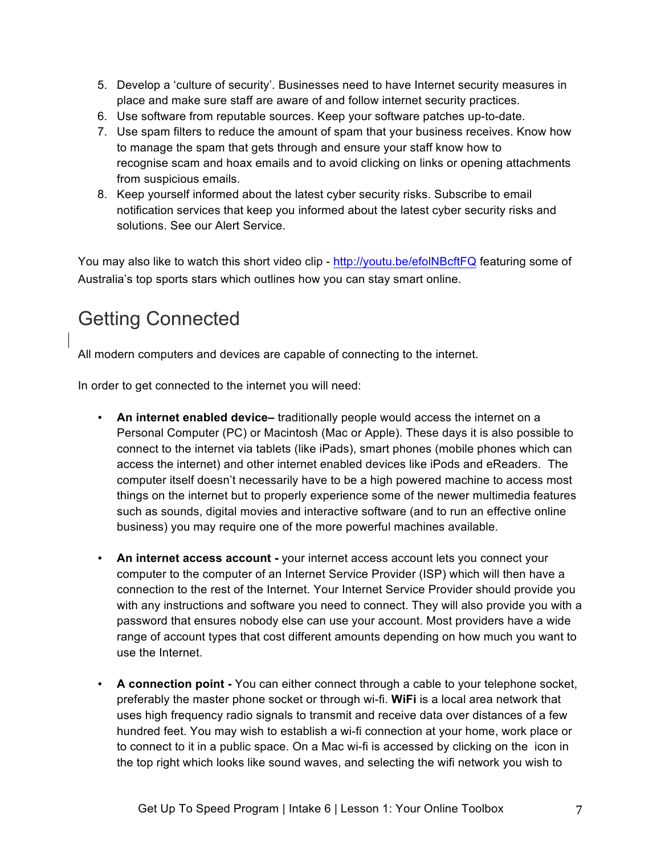- 5. Develop a 'culture of security'. Businesses need to have Internet security measures in place and make sure staff are aware of and follow internet security practices.
- 6. Use software from reputable sources. Keep your software patches up-to-date.
- 7. Use spam filters to reduce the amount of spam that your business receives. Know how to manage the spam that gets through and ensure your staff know how to recognise scam and hoax emails and to avoid clicking on links or opening attachments from suspicious emails.
- 8. Keep yourself informed about the latest cyber security risks. Subscribe to email notification services that keep you informed about the latest cyber security risks and solutions. See our Alert Service.

You may also like to watch this short video clip - http://youtu.be/efolNBcftFQ featuring some of Australia's top sports stars which outlines how you can stay smart online.

# Getting Connected

All modern computers and devices are capable of connecting to the internet.

In order to get connected to the internet you will need:

- **An internet enabled device–** traditionally people would access the internet on a Personal Computer (PC) or Macintosh (Mac or Apple). These days it is also possible to connect to the internet via tablets (like iPads), smart phones (mobile phones which can access the internet) and other internet enabled devices like iPods and eReaders. The computer itself doesn't necessarily have to be a high powered machine to access most things on the internet but to properly experience some of the newer multimedia features such as sounds, digital movies and interactive software (and to run an effective online business) you may require one of the more powerful machines available.
- **An internet access account -** your internet access account lets you connect your computer to the computer of an Internet Service Provider (ISP) which will then have a connection to the rest of the Internet. Your Internet Service Provider should provide you with any instructions and software you need to connect. They will also provide you with a password that ensures nobody else can use your account. Most providers have a wide range of account types that cost different amounts depending on how much you want to use the Internet.
- **A connection point -** You can either connect through a cable to your telephone socket, preferably the master phone socket or through wi-fi. **WiFi** is a local area network that uses high frequency radio signals to transmit and receive data over distances of a few hundred feet. You may wish to establish a wi-fi connection at your home, work place or to connect to it in a public space. On a Mac wi-fi is accessed by clicking on the icon in the top right which looks like sound waves, and selecting the wifi network you wish to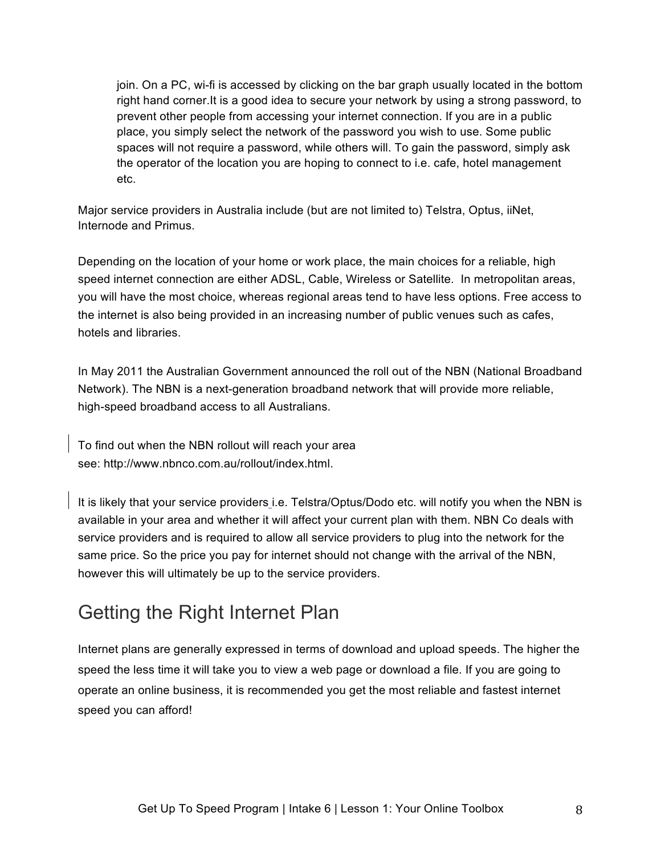join. On a PC, wi-fi is accessed by clicking on the bar graph usually located in the bottom right hand corner.It is a good idea to secure your network by using a strong password, to prevent other people from accessing your internet connection. If you are in a public place, you simply select the network of the password you wish to use. Some public spaces will not require a password, while others will. To gain the password, simply ask the operator of the location you are hoping to connect to i.e. cafe, hotel management etc.

Major service providers in Australia include (but are not limited to) Telstra, Optus, iiNet, Internode and Primus.

Depending on the location of your home or work place, the main choices for a reliable, high speed internet connection are either ADSL, Cable, Wireless or Satellite. In metropolitan areas, you will have the most choice, whereas regional areas tend to have less options. Free access to the internet is also being provided in an increasing number of public venues such as cafes, hotels and libraries.

In May 2011 the Australian Government announced the roll out of the NBN (National Broadband Network). The NBN is a next-generation broadband network that will provide more reliable, high-speed broadband access to all Australians.

To find out when the NBN rollout will reach your area see: http://www.nbnco.com.au/rollout/index.html.

It is likely that your service providers i.e. Telstra/Optus/Dodo etc. will notify you when the NBN is available in your area and whether it will affect your current plan with them. NBN Co deals with service providers and is required to allow all service providers to plug into the network for the same price. So the price you pay for internet should not change with the arrival of the NBN, however this will ultimately be up to the service providers.

# Getting the Right Internet Plan

Internet plans are generally expressed in terms of download and upload speeds. The higher the speed the less time it will take you to view a web page or download a file. If you are going to operate an online business, it is recommended you get the most reliable and fastest internet speed you can afford!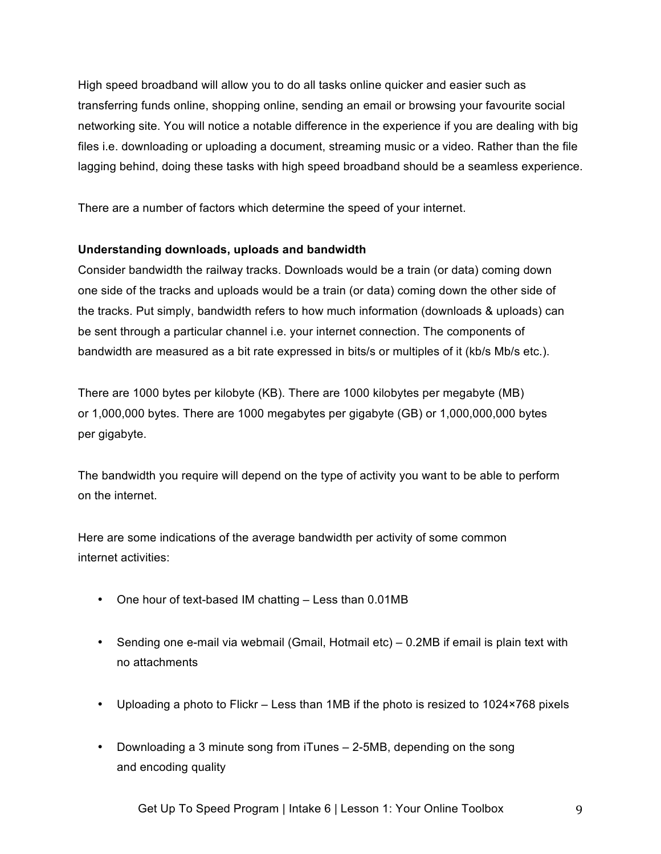High speed broadband will allow you to do all tasks online quicker and easier such as transferring funds online, shopping online, sending an email or browsing your favourite social networking site. You will notice a notable difference in the experience if you are dealing with big files i.e. downloading or uploading a document, streaming music or a video. Rather than the file lagging behind, doing these tasks with high speed broadband should be a seamless experience.

There are a number of factors which determine the speed of your internet.

### **Understanding downloads, uploads and bandwidth**

Consider bandwidth the railway tracks. Downloads would be a train (or data) coming down one side of the tracks and uploads would be a train (or data) coming down the other side of the tracks. Put simply, bandwidth refers to how much information (downloads & uploads) can be sent through a particular channel i.e. your internet connection. The components of bandwidth are measured as a bit rate expressed in bits/s or multiples of it (kb/s Mb/s etc.).

There are 1000 bytes per kilobyte (KB). There are 1000 kilobytes per megabyte (MB) or 1,000,000 bytes. There are 1000 megabytes per gigabyte (GB) or 1,000,000,000 bytes per gigabyte.

The bandwidth you require will depend on the type of activity you want to be able to perform on the internet.

Here are some indications of the average bandwidth per activity of some common internet activities:

- One hour of text-based IM chatting Less than 0.01MB
- Sending one e-mail via webmail (Gmail, Hotmail etc) 0.2MB if email is plain text with no attachments
- Uploading a photo to Flickr Less than 1MB if the photo is resized to 1024×768 pixels
- Downloading a 3 minute song from iTunes 2-5MB, depending on the song and encoding quality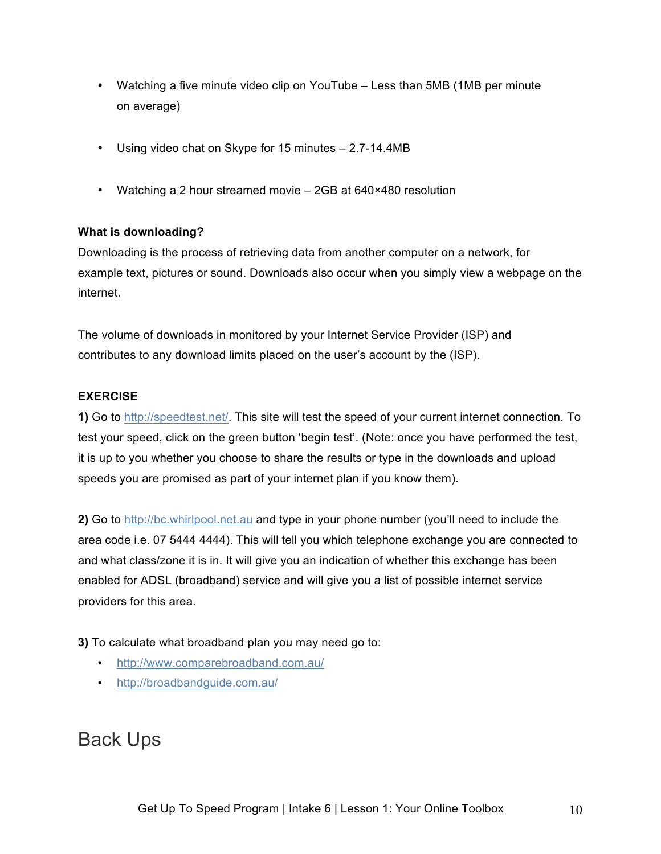- Watching a five minute video clip on YouTube Less than 5MB (1MB per minute on average)
- Using video chat on Skype for 15 minutes 2.7-14.4MB
- Watching a 2 hour streamed movie 2GB at 640×480 resolution

### **What is downloading?**

Downloading is the process of retrieving data from another computer on a network, for example text, pictures or sound. Downloads also occur when you simply view a webpage on the internet.

The volume of downloads in monitored by your Internet Service Provider (ISP) and contributes to any download limits placed on the user's account by the (ISP).

#### **EXERCISE**

**1)** Go to http://speedtest.net/. This site will test the speed of your current internet connection. To test your speed, click on the green button 'begin test'. (Note: once you have performed the test, it is up to you whether you choose to share the results or type in the downloads and upload speeds you are promised as part of your internet plan if you know them).

**2)** Go to http://bc.whirlpool.net.au and type in your phone number (you'll need to include the area code i.e. 07 5444 4444). This will tell you which telephone exchange you are connected to and what class/zone it is in. It will give you an indication of whether this exchange has been enabled for ADSL (broadband) service and will give you a list of possible internet service providers for this area.

**3)** To calculate what broadband plan you may need go to:

- http://www.comparebroadband.com.au/
- http://broadbandguide.com.au/

### Back Ups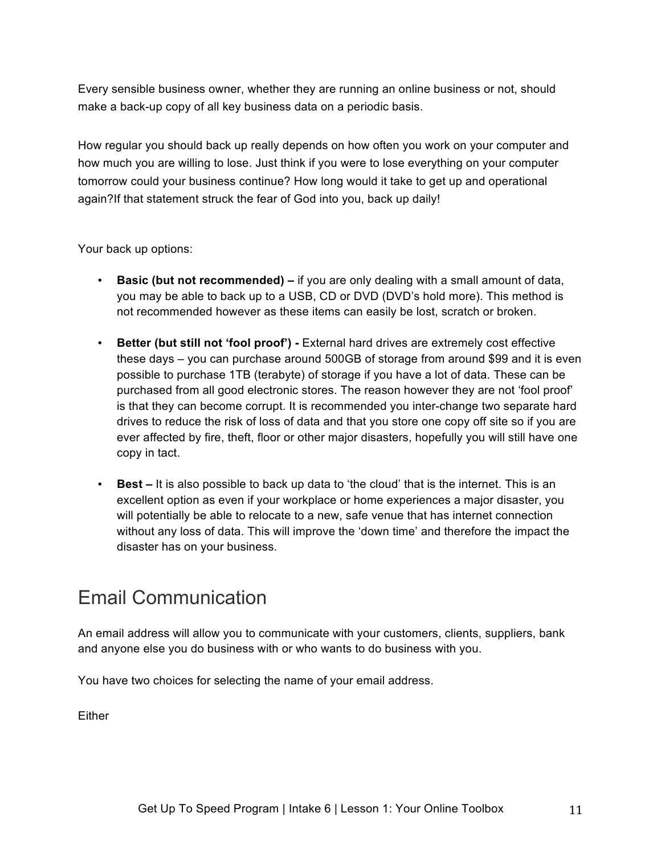Every sensible business owner, whether they are running an online business or not, should make a back-up copy of all key business data on a periodic basis.

How regular you should back up really depends on how often you work on your computer and how much you are willing to lose. Just think if you were to lose everything on your computer tomorrow could your business continue? How long would it take to get up and operational again?If that statement struck the fear of God into you, back up daily!

Your back up options:

- **Basic (but not recommended) –** if you are only dealing with a small amount of data, you may be able to back up to a USB, CD or DVD (DVD's hold more). This method is not recommended however as these items can easily be lost, scratch or broken.
- **Better (but still not 'fool proof') -** External hard drives are extremely cost effective these days – you can purchase around 500GB of storage from around \$99 and it is even possible to purchase 1TB (terabyte) of storage if you have a lot of data. These can be purchased from all good electronic stores. The reason however they are not 'fool proof' is that they can become corrupt. It is recommended you inter-change two separate hard drives to reduce the risk of loss of data and that you store one copy off site so if you are ever affected by fire, theft, floor or other major disasters, hopefully you will still have one copy in tact.
- **Best –** It is also possible to back up data to 'the cloud' that is the internet. This is an excellent option as even if your workplace or home experiences a major disaster, you will potentially be able to relocate to a new, safe venue that has internet connection without any loss of data. This will improve the 'down time' and therefore the impact the disaster has on your business.

### Email Communication

An email address will allow you to communicate with your customers, clients, suppliers, bank and anyone else you do business with or who wants to do business with you.

You have two choices for selecting the name of your email address.

Either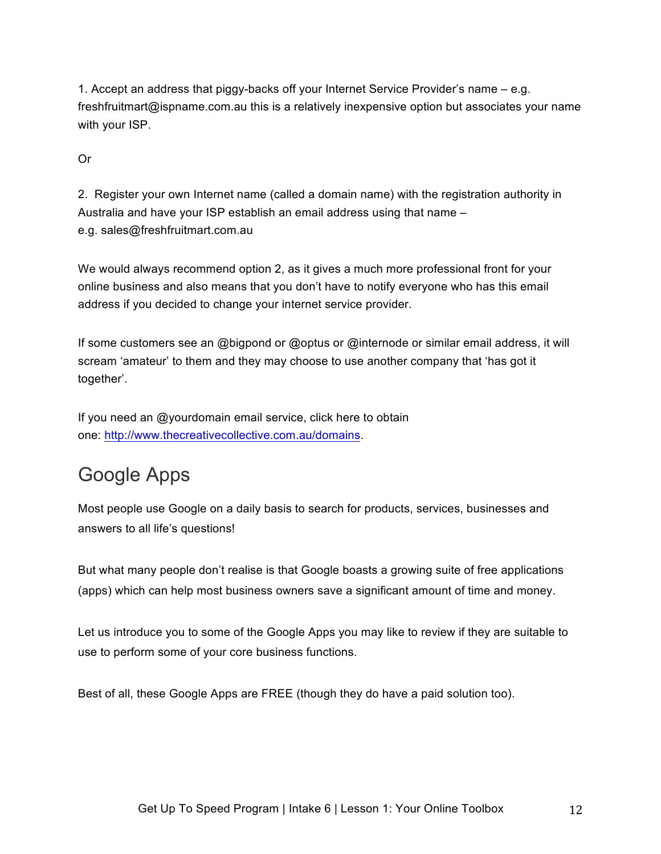1. Accept an address that piggy-backs off your Internet Service Provider's name – e.g. freshfruitmart@ispname.com.au this is a relatively inexpensive option but associates your name with your ISP.

Or

2. Register your own Internet name (called a domain name) with the registration authority in Australia and have your ISP establish an email address using that name – e.g. sales@freshfruitmart.com.au

We would always recommend option 2, as it gives a much more professional front for your online business and also means that you don't have to notify everyone who has this email address if you decided to change your internet service provider.

If some customers see an @bigpond or @optus or @internode or similar email address, it will scream 'amateur' to them and they may choose to use another company that 'has got it together'.

If you need an @yourdomain email service, click here to obtain one: http://www.thecreativecollective.com.au/domains.

# Google Apps

Most people use Google on a daily basis to search for products, services, businesses and answers to all life's questions!

But what many people don't realise is that Google boasts a growing suite of free applications (apps) which can help most business owners save a significant amount of time and money.

Let us introduce you to some of the Google Apps you may like to review if they are suitable to use to perform some of your core business functions.

Best of all, these Google Apps are FREE (though they do have a paid solution too).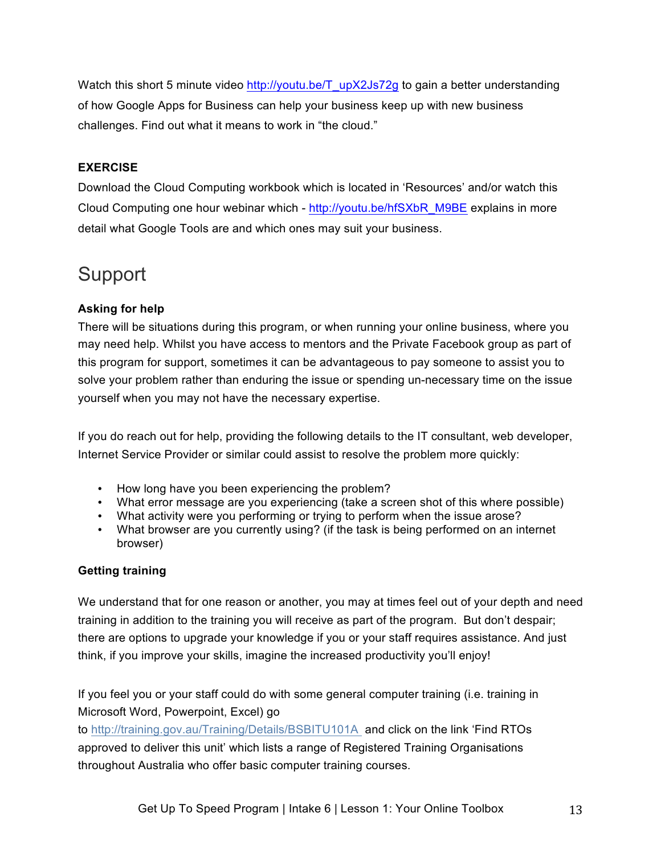Watch this short 5 minute video http://youtu.be/T\_upX2Js72g to gain a better understanding of how Google Apps for Business can help your business keep up with new business challenges. Find out what it means to work in "the cloud."

### **EXERCISE**

Download the Cloud Computing workbook which is located in 'Resources' and/or watch this Cloud Computing one hour webinar which - http://youtu.be/hfSXbR\_M9BE explains in more detail what Google Tools are and which ones may suit your business.

### Support

### **Asking for help**

There will be situations during this program, or when running your online business, where you may need help. Whilst you have access to mentors and the Private Facebook group as part of this program for support, sometimes it can be advantageous to pay someone to assist you to solve your problem rather than enduring the issue or spending un-necessary time on the issue yourself when you may not have the necessary expertise.

If you do reach out for help, providing the following details to the IT consultant, web developer, Internet Service Provider or similar could assist to resolve the problem more quickly:

- How long have you been experiencing the problem?
- What error message are you experiencing (take a screen shot of this where possible)
- What activity were you performing or trying to perform when the issue arose?
- What browser are you currently using? (if the task is being performed on an internet browser)

### **Getting training**

We understand that for one reason or another, you may at times feel out of your depth and need training in addition to the training you will receive as part of the program. But don't despair; there are options to upgrade your knowledge if you or your staff requires assistance. And just think, if you improve your skills, imagine the increased productivity you'll enjoy!

If you feel you or your staff could do with some general computer training (i.e. training in Microsoft Word, Powerpoint, Excel) go

to http://training.gov.au/Training/Details/BSBITU101A and click on the link 'Find RTOs approved to deliver this unit' which lists a range of Registered Training Organisations throughout Australia who offer basic computer training courses.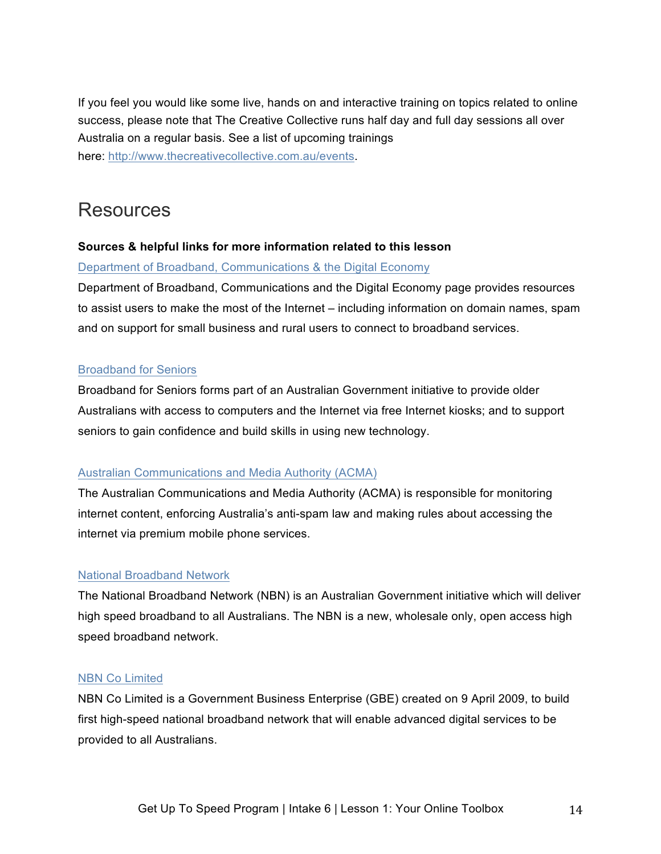If you feel you would like some live, hands on and interactive training on topics related to online success, please note that The Creative Collective runs half day and full day sessions all over Australia on a regular basis. See a list of upcoming trainings here: http://www.thecreativecollective.com.au/events.

### **Resources**

### **Sources & helpful links for more information related to this lesson**

Department of Broadband, Communications & the Digital Economy

Department of Broadband, Communications and the Digital Economy page provides resources to assist users to make the most of the Internet – including information on domain names, spam and on support for small business and rural users to connect to broadband services.

### Broadband for Seniors

Broadband for Seniors forms part of an Australian Government initiative to provide older Australians with access to computers and the Internet via free Internet kiosks; and to support seniors to gain confidence and build skills in using new technology.

#### Australian Communications and Media Authority (ACMA)

The Australian Communications and Media Authority (ACMA) is responsible for monitoring internet content, enforcing Australia's anti-spam law and making rules about accessing the internet via premium mobile phone services.

#### National Broadband Network

The National Broadband Network (NBN) is an Australian Government initiative which will deliver high speed broadband to all Australians. The NBN is a new, wholesale only, open access high speed broadband network.

#### NBN Co Limited

NBN Co Limited is a Government Business Enterprise (GBE) created on 9 April 2009, to build first high-speed national broadband network that will enable advanced digital services to be provided to all Australians.